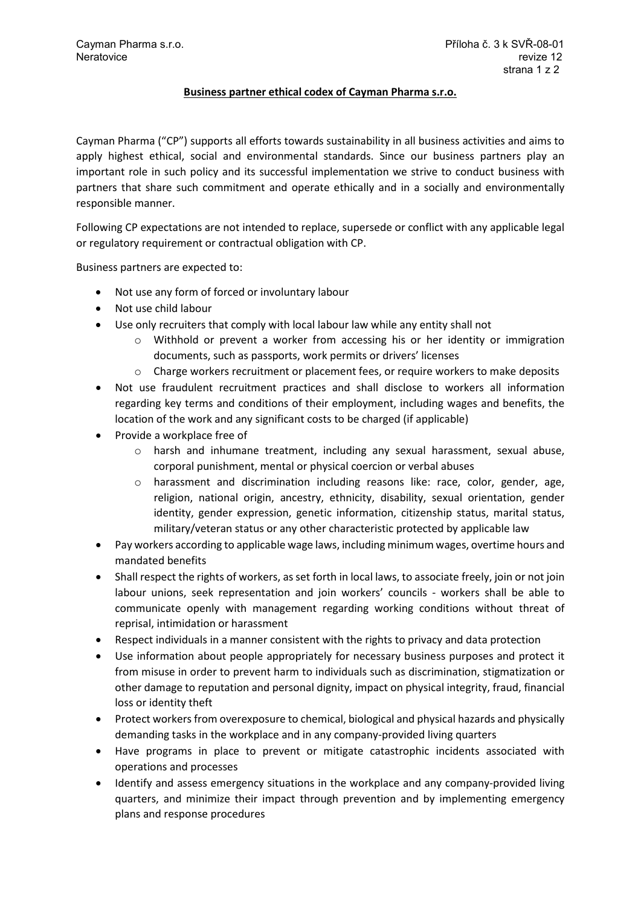## **Business partner ethical codex of Cayman Pharma s.r.o.**

Cayman Pharma ("CP") supports all efforts towards sustainability in all business activities and aims to apply highest ethical, social and environmental standards. Since our business partners play an important role in such policy and its successful implementation we strive to conduct business with partners that share such commitment and operate ethically and in a socially and environmentally responsible manner.

Following CP expectations are not intended to replace, supersede or conflict with any applicable legal or regulatory requirement or contractual obligation with CP.

Business partners are expected to:

- Not use any form of forced or involuntary labour
- Not use child labour
- Use only recruiters that comply with local labour law while any entity shall not
	- $\circ$  Withhold or prevent a worker from accessing his or her identity or immigration documents, such as passports, work permits or drivers' licenses
	- $\circ$  Charge workers recruitment or placement fees, or require workers to make deposits
- Not use fraudulent recruitment practices and shall disclose to workers all information regarding key terms and conditions of their employment, including wages and benefits, the location of the work and any significant costs to be charged (if applicable)
- Provide a workplace free of
	- o harsh and inhumane treatment, including any sexual harassment, sexual abuse, corporal punishment, mental or physical coercion or verbal abuses
	- o harassment and discrimination including reasons like: race, color, gender, age, religion, national origin, ancestry, ethnicity, disability, sexual orientation, gender identity, gender expression, genetic information, citizenship status, marital status, military/veteran status or any other characteristic protected by applicable law
- Pay workers according to applicable wage laws, including minimum wages, overtime hours and mandated benefits
- Shall respect the rights of workers, as set forth in local laws, to associate freely, join or not join labour unions, seek representation and join workers' councils - workers shall be able to communicate openly with management regarding working conditions without threat of reprisal, intimidation or harassment
- Respect individuals in a manner consistent with the rights to privacy and data protection
- Use information about people appropriately for necessary business purposes and protect it from misuse in order to prevent harm to individuals such as discrimination, stigmatization or other damage to reputation and personal dignity, impact on physical integrity, fraud, financial loss or identity theft
- Protect workers from overexposure to chemical, biological and physical hazards and physically demanding tasks in the workplace and in any company-provided living quarters
- Have programs in place to prevent or mitigate catastrophic incidents associated with operations and processes
- Identify and assess emergency situations in the workplace and any company-provided living quarters, and minimize their impact through prevention and by implementing emergency plans and response procedures